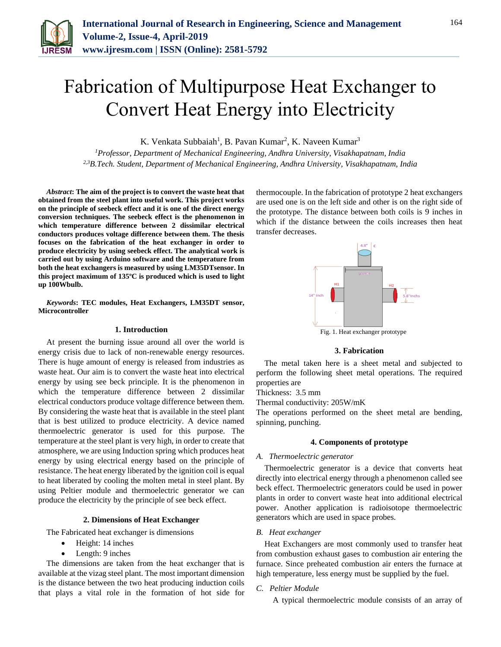

# Fabrication of Multipurpose Heat Exchanger to Convert Heat Energy into Electricity

K. Venkata Subbaiah<sup>1</sup>, B. Pavan Kumar<sup>2</sup>, K. Naveen Kumar<sup>3</sup>

*<sup>1</sup>Professor, Department of Mechanical Engineering, Andhra University, Visakhapatnam, India 2,3B.Tech. Student, Department of Mechanical Engineering, Andhra University, Visakhapatnam, India*

*Abstract***: The aim of the project is to convert the waste heat that obtained from the steel plant into useful work. This project works on the principle of seebeck effect and it is one of the direct energy conversion techniques. The seebeck effect is the phenomenon in which temperature difference between 2 dissimilar electrical conductors produces voltage difference between them. The thesis focuses on the fabrication of the heat exchanger in order to produce electricity by using seebeck effect. The analytical work is carried out by using Arduino software and the temperature from both the heat exchangers is measured by using LM35DTsensor. In this project maximum of 135ºC is produced which is used to light up 100Wbulb.**

*Keywords***: TEC modules, Heat Exchangers, LM35DT sensor, Microcontroller**

#### **1. Introduction**

At present the burning issue around all over the world is energy crisis due to lack of non-renewable energy resources. There is huge amount of energy is released from industries as waste heat. Our aim is to convert the waste heat into electrical energy by using see beck principle. It is the phenomenon in which the temperature difference between 2 dissimilar electrical conductors produce voltage difference between them. By considering the waste heat that is available in the steel plant that is best utilized to produce electricity. A device named thermoelectric generator is used for this purpose. The temperature at the steel plant is very high, in order to create that atmosphere, we are using Induction spring which produces heat energy by using electrical energy based on the principle of resistance. The heat energy liberated by the ignition coil is equal to heat liberated by cooling the molten metal in steel plant. By using Peltier module and thermoelectric generator we can produce the electricity by the principle of see beck effect.

#### **2. Dimensions of Heat Exchanger**

The Fabricated heat exchanger is dimensions

- Height: 14 inches
- Length: 9 inches

The dimensions are taken from the heat exchanger that is available at the vizag steel plant. The most important dimension is the distance between the two heat producing induction coils that plays a vital role in the formation of hot side for thermocouple. In the fabrication of prototype 2 heat exchangers are used one is on the left side and other is on the right side of the prototype. The distance between both coils is 9 inches in which if the distance between the coils increases then heat transfer decreases.



# **3. Fabrication**

The metal taken here is a sheet metal and subjected to perform the following sheet metal operations. The required properties are

Thickness: 3.5 mm

Thermal conductivity: 205W/mK

The operations performed on the sheet metal are bending, spinning, punching.

#### **4. Components of prototype**

# *A. Thermoelectric generator*

Thermoelectric generator is a device that converts heat directly into electrical energy through a phenomenon called see beck effect. Thermoelectric generators could be used in power plants in order to convert waste heat into additional electrical power. Another application is radioisotope thermoelectric generators which are used in space probes.

#### *B. Heat exchanger*

Heat Exchangers are most commonly used to transfer heat from combustion exhaust gases to combustion air entering the furnace. Since preheated combustion air enters the furnace at high temperature, less energy must be supplied by the fuel.

# *C. Peltier Module*

A typical thermoelectric module consists of an array of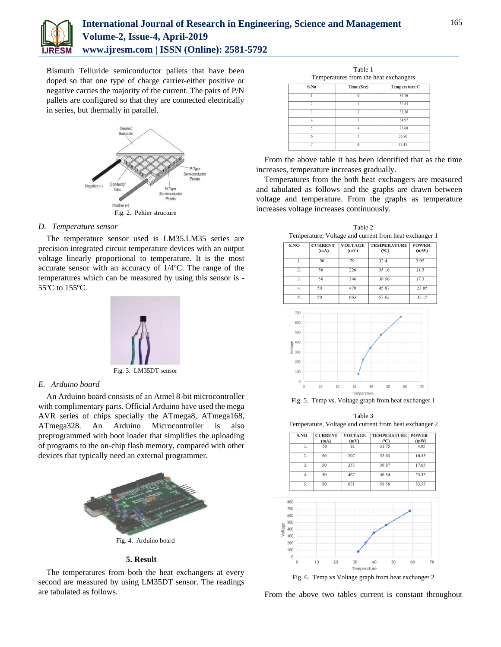

# **International Journal of Research in Engineering, Science and Management Volume-2, Issue-4, April-2019 www.ijresm.com | ISSN (Online): 2581-5792**

Bismuth Telluride semiconductor pallets that have been doped so that one type of charge carrier-either positive or negative carries the majority of the current. The pairs of P/N pallets are configured so that they are connected electrically in series, but thermally in parallel.



# *D. Temperature sensor*

The temperature sensor used is LM35.LM35 series are precision integrated circuit temperature devices with an output voltage linearly proportional to temperature. It is the most accurate sensor with an accuracy of 1/4ºC. The range of the temperatures which can be measured by using this sensor is - 55ºC to 155ºC.



Fig. 3. LM35DT sensor

## *E. Arduino board*

An Arduino board consists of an Atmel 8-bit microcontroller with complimentary parts. Official Arduino have used the mega AVR series of chips specially the ATmega8, ATmega168, ATmega328. An Arduino Microcontroller is also preprogrammed with boot loader that simplifies the uploading of programs to the on-chip flash memory, compared with other devices that typically need an external programmer.



#### **5. Result**

The temperatures from both the heat exchangers at every second are measured by using LM35DT sensor. The readings are tabulated as follows.

| Table 1<br>Temperatures from the heat exchangers |                |               |  |  |  |
|--------------------------------------------------|----------------|---------------|--|--|--|
| S.No                                             | Time (Sec)     | Temperature C |  |  |  |
|                                                  | 0              | 31.76         |  |  |  |
| $\overline{2}$                                   |                | 32.85         |  |  |  |
| $\overline{\mathbf{3}}$                          | $\mathfrak{D}$ | 33.26         |  |  |  |
| Δ                                                | 3              | 34.97         |  |  |  |
| ς                                                | $\Lambda$      | 35.68         |  |  |  |
| 6                                                | 5              | 36.86         |  |  |  |
|                                                  | 6              | 37.45         |  |  |  |

From the above table it has been identified that as the time increases, temperature increases gradually.

Temperatures from the both heat exchangers are measured and tabulated as follows and the graphs are drawn between voltage and temperature. From the graphs as temperature increases voltage increases continuously.

Table 2 Temperature, Voltage and current from heat exchanger 1

| S.NO | <b>CURRENT</b><br>(mA) | <b>VOLTAGE</b><br>(mV) | <b>TEMPERATURE</b><br>$(^{\circ}C)$ | <b>POWER</b><br>(mW) |
|------|------------------------|------------------------|-------------------------------------|----------------------|
| 1.   | 50                     | 79                     | 32.4                                | 3.95                 |
| 2.   | 50                     | 226                    | 35.16                               | 11.3                 |
| 3.   | 50                     | 346                    | 39.56                               | 17.3                 |
| 4.   | 50                     | 479                    | 45.87                               | 23.95                |
| 5.   | 50                     | 663                    | 57.62                               | 33.15                |



Fig. 5. Temp vs. Voltage graph from heat exchanger 1

Table 3 Temperature, Voltage and current from heat exchanger 2

| S.NO             | <b>CURRENT</b><br>(mA) | <b>VOLTAGE</b><br>(mV) | <b>TEMPERATURE   POWER</b><br>(°C) | (mW)  |
|------------------|------------------------|------------------------|------------------------------------|-------|
| 1.               | 50                     | 81                     | 31.75                              | 4.05  |
| $\overline{2}$ . | 50                     | 207                    | 35.63                              | 10.35 |
| 3.               | 50                     | 353                    | 39.87                              | 17.65 |
| 4.               | 50                     | 467                    | 46.34                              | 23.35 |
| 5.               | 50                     | 671                    | 58.56                              | 33.55 |



From the above two tables current is constant throughout